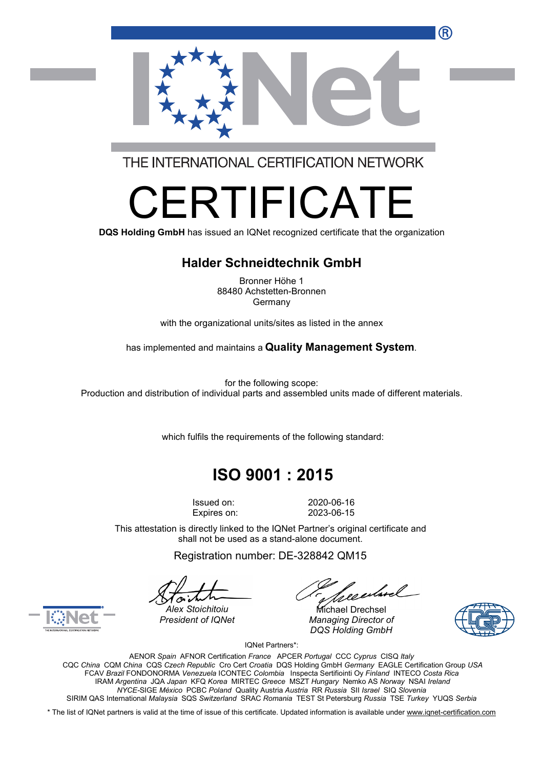

THE INTERNATIONAL CERTIFICATION NETWORK

# RTIFICAT

**DQS Holding GmbH** has issued an IQNet recognized certificate that the organization

#### **Halder Schneidtechnik GmbH**

Bronner Höhe 1 88480 Achstetten-Bronnen Germany

with the organizational units/sites as listed in the annex

has implemented and maintains a **Quality Management System**.

for the following scope: Production and distribution of individual parts and assembled units made of different materials.

which fulfils the requirements of the following standard:

## **ISO 9001 : 2015**

Issued on: 2020-06-16 Expires on: 2023-06-15

This attestation is directly linked to the IQNet Partner's original certificate and shall not be used as a stand-alone document.

Registration number: DE-328842 QM15

*President of IQNet Managing Director of DQS Holding GmbH*





*Alex Stoichitoiu* Michael Drechsel

IQNet Partners\*:

AENOR *Spain* AFNOR Certification *France* APCER *Portugal* CCC *Cyprus* CISQ *Italy* CQC *China* CQM *China* CQS *Czech Republic* Cro Cert *Croatia* DQS Holding GmbH *Germany* EAGLE Certification Group *USA* FCAV *Brazil* FONDONORMA *Venezuela* ICONTEC *Colombia* Inspecta Sertifiointi Oy *Finland* INTECO *Costa Rica* IRAM *Argentina* JQA *Japan* KFQ *Korea* MIRTEC *Greece* MSZT *Hungary* Nemko AS *Norway* NSAI *Ireland NYCE-*SIGE *México* PCBC *Poland* Quality Austria *Austria* RR *Russia* SII *Israel* SIQ *Slovenia* SIRIM QAS International *Malaysia* SQS *Switzerland* SRAC *Romania* TEST St Petersburg *Russia* TSE *Turkey* YUQS *Serbia*

\* The list of IQNet partners is valid at the time of issue of this certificate. Updated information is available under www.ignet-certification.com